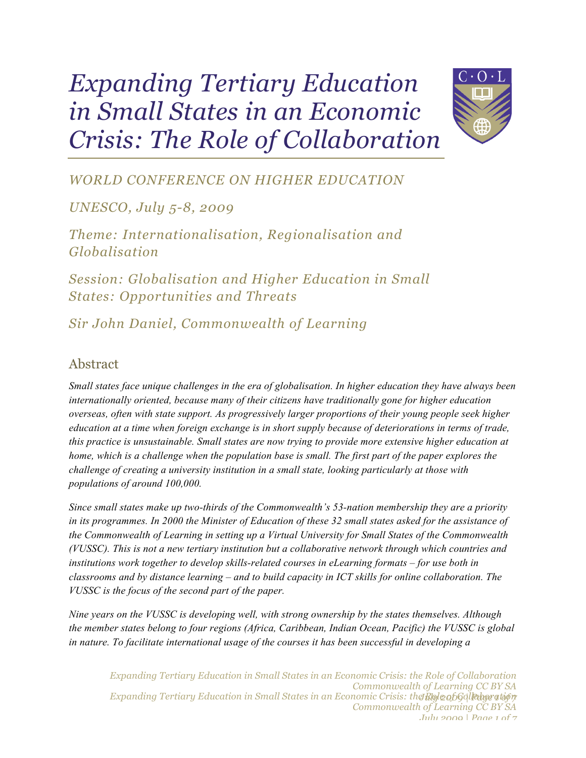# *Expanding Tertiary Education in Small States in an Economic Crisis: The Role of Collaboration*



# *WORLD CONFERENCE ON HIGHER EDUCATION*

## *UNESCO, July 5-8, 2009*

*Theme: Internationalisation, Regionalisation and Globalisation*

*Session: Globalisation and Higher Education in Small States: Opportunities and Threats*

*Sir John Daniel, Commonwealth of Learning*

#### Abstract

*Small states face unique challenges in the era of globalisation. In higher education they have always been internationally oriented, because many of their citizens have traditionally gone for higher education overseas, often with state support. As progressively larger proportions of their young people seek higher education at a time when foreign exchange is in short supply because of deteriorations in terms of trade, this practice is unsustainable. Small states are now trying to provide more extensive higher education at home, which is a challenge when the population base is small. The first part of the paper explores the challenge of creating a university institution in a small state, looking particularly at those with populations of around 100,000.*

*Since small states make up two-thirds of the Commonwealth's 53-nation membership they are a priority in its programmes. In 2000 the Minister of Education of these 32 small states asked for the assistance of the Commonwealth of Learning in setting up a Virtual University for Small States of the Commonwealth (VUSSC). This is not a new tertiary institution but a collaborative network through which countries and institutions work together to develop skills-related courses in eLearning formats – for use both in classrooms and by distance learning – and to build capacity in ICT skills for online collaboration. The VUSSC is the focus of the second part of the paper.*

*Nine years on the VUSSC is developing well, with strong ownership by the states themselves. Although the member states belong to four regions (Africa, Caribbean, Indian Ocean, Pacific) the VUSSC is global in nature. To facilitate international usage of the courses it has been successful in developing a*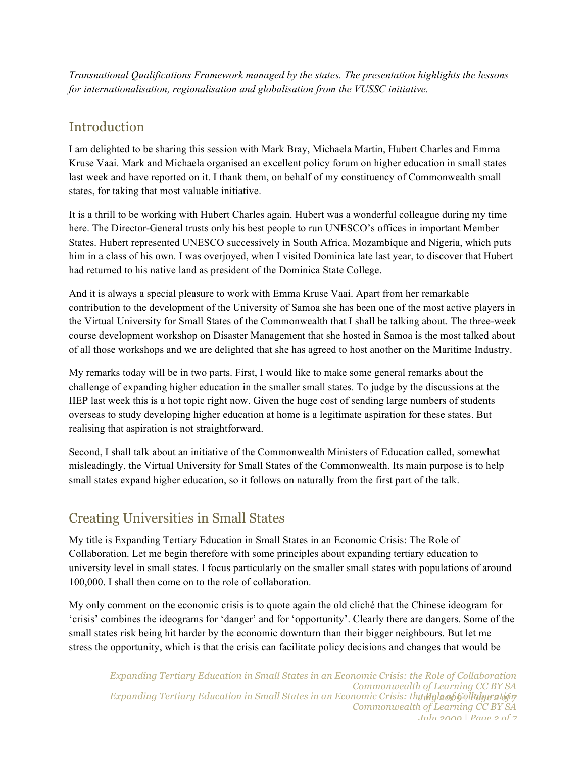*Transnational Qualifications Framework managed by the states. The presentation highlights the lessons for internationalisation, regionalisation and globalisation from the VUSSC initiative.*

#### Introduction

I am delighted to be sharing this session with Mark Bray, Michaela Martin, Hubert Charles and Emma Kruse Vaai. Mark and Michaela organised an excellent policy forum on higher education in small states last week and have reported on it. I thank them, on behalf of my constituency of Commonwealth small states, for taking that most valuable initiative.

It is a thrill to be working with Hubert Charles again. Hubert was a wonderful colleague during my time here. The Director-General trusts only his best people to run UNESCO's offices in important Member States. Hubert represented UNESCO successively in South Africa, Mozambique and Nigeria, which puts him in a class of his own. I was overjoyed, when I visited Dominica late last year, to discover that Hubert had returned to his native land as president of the Dominica State College.

And it is always a special pleasure to work with Emma Kruse Vaai. Apart from her remarkable contribution to the development of the University of Samoa she has been one of the most active players in the Virtual University for Small States of the Commonwealth that I shall be talking about. The three-week course development workshop on Disaster Management that she hosted in Samoa is the most talked about of all those workshops and we are delighted that she has agreed to host another on the Maritime Industry.

My remarks today will be in two parts. First, I would like to make some general remarks about the challenge of expanding higher education in the smaller small states. To judge by the discussions at the IIEP last week this is a hot topic right now. Given the huge cost of sending large numbers of students overseas to study developing higher education at home is a legitimate aspiration for these states. But realising that aspiration is not straightforward.

Second, I shall talk about an initiative of the Commonwealth Ministers of Education called, somewhat misleadingly, the Virtual University for Small States of the Commonwealth. Its main purpose is to help small states expand higher education, so it follows on naturally from the first part of the talk.

### Creating Universities in Small States

My title is Expanding Tertiary Education in Small States in an Economic Crisis: The Role of Collaboration. Let me begin therefore with some principles about expanding tertiary education to university level in small states. I focus particularly on the smaller small states with populations of around 100,000. I shall then come on to the role of collaboration.

My only comment on the economic crisis is to quote again the old cliché that the Chinese ideogram for 'crisis' combines the ideograms for 'danger' and for 'opportunity'. Clearly there are dangers. Some of the small states risk being hit harder by the economic downturn than their bigger neighbours. But let me stress the opportunity, which is that the crisis can facilitate policy decisions and changes that would be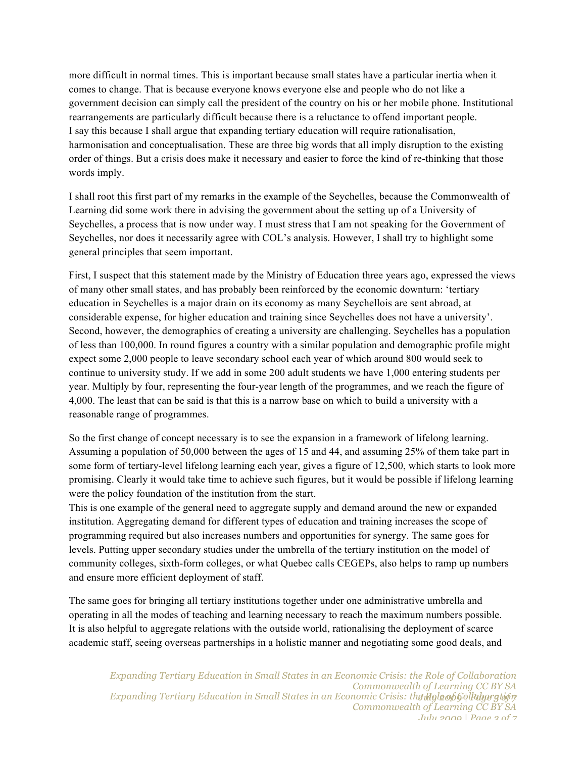more difficult in normal times. This is important because small states have a particular inertia when it comes to change. That is because everyone knows everyone else and people who do not like a government decision can simply call the president of the country on his or her mobile phone. Institutional rearrangements are particularly difficult because there is a reluctance to offend important people. I say this because I shall argue that expanding tertiary education will require rationalisation, harmonisation and conceptualisation. These are three big words that all imply disruption to the existing order of things. But a crisis does make it necessary and easier to force the kind of re-thinking that those words imply.

I shall root this first part of my remarks in the example of the Seychelles, because the Commonwealth of Learning did some work there in advising the government about the setting up of a University of Seychelles, a process that is now under way. I must stress that I am not speaking for the Government of Seychelles, nor does it necessarily agree with COL's analysis. However, I shall try to highlight some general principles that seem important.

First, I suspect that this statement made by the Ministry of Education three years ago, expressed the views of many other small states, and has probably been reinforced by the economic downturn: 'tertiary education in Seychelles is a major drain on its economy as many Seychellois are sent abroad, at considerable expense, for higher education and training since Seychelles does not have a university'. Second, however, the demographics of creating a university are challenging. Seychelles has a population of less than 100,000. In round figures a country with a similar population and demographic profile might expect some 2,000 people to leave secondary school each year of which around 800 would seek to continue to university study. If we add in some 200 adult students we have 1,000 entering students per year. Multiply by four, representing the four-year length of the programmes, and we reach the figure of 4,000. The least that can be said is that this is a narrow base on which to build a university with a reasonable range of programmes.

So the first change of concept necessary is to see the expansion in a framework of lifelong learning. Assuming a population of 50,000 between the ages of 15 and 44, and assuming 25% of them take part in some form of tertiary-level lifelong learning each year, gives a figure of 12,500, which starts to look more promising. Clearly it would take time to achieve such figures, but it would be possible if lifelong learning were the policy foundation of the institution from the start.

This is one example of the general need to aggregate supply and demand around the new or expanded institution. Aggregating demand for different types of education and training increases the scope of programming required but also increases numbers and opportunities for synergy. The same goes for levels. Putting upper secondary studies under the umbrella of the tertiary institution on the model of community colleges, sixth-form colleges, or what Quebec calls CEGEPs, also helps to ramp up numbers and ensure more efficient deployment of staff.

The same goes for bringing all tertiary institutions together under one administrative umbrella and operating in all the modes of teaching and learning necessary to reach the maximum numbers possible. It is also helpful to aggregate relations with the outside world, rationalising the deployment of scarce academic staff, seeing overseas partnerships in a holistic manner and negotiating some good deals, and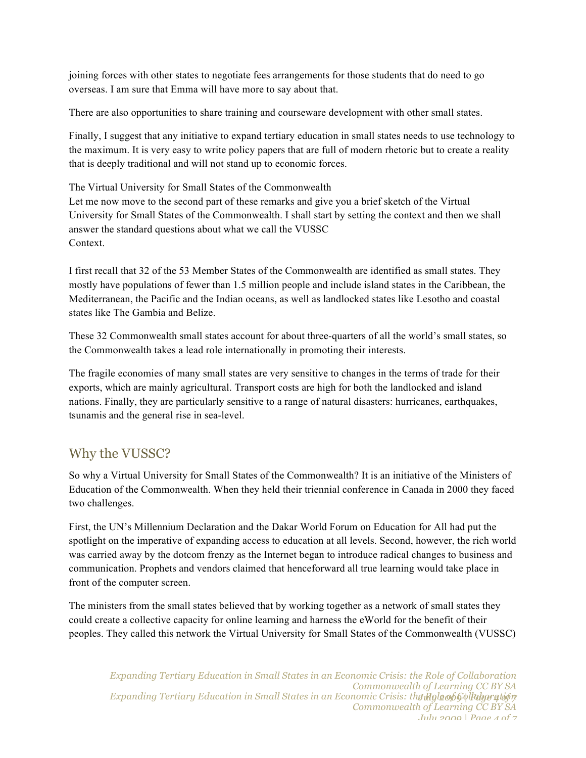joining forces with other states to negotiate fees arrangements for those students that do need to go overseas. I am sure that Emma will have more to say about that.

There are also opportunities to share training and courseware development with other small states.

Finally, I suggest that any initiative to expand tertiary education in small states needs to use technology to the maximum. It is very easy to write policy papers that are full of modern rhetoric but to create a reality that is deeply traditional and will not stand up to economic forces.

The Virtual University for Small States of the Commonwealth Let me now move to the second part of these remarks and give you a brief sketch of the Virtual University for Small States of the Commonwealth. I shall start by setting the context and then we shall answer the standard questions about what we call the VUSSC Context.

I first recall that 32 of the 53 Member States of the Commonwealth are identified as small states. They mostly have populations of fewer than 1.5 million people and include island states in the Caribbean, the Mediterranean, the Pacific and the Indian oceans, as well as landlocked states like Lesotho and coastal states like The Gambia and Belize.

These 32 Commonwealth small states account for about three-quarters of all the world's small states, so the Commonwealth takes a lead role internationally in promoting their interests.

The fragile economies of many small states are very sensitive to changes in the terms of trade for their exports, which are mainly agricultural. Transport costs are high for both the landlocked and island nations. Finally, they are particularly sensitive to a range of natural disasters: hurricanes, earthquakes, tsunamis and the general rise in sea-level.

### Why the VUSSC?

So why a Virtual University for Small States of the Commonwealth? It is an initiative of the Ministers of Education of the Commonwealth. When they held their triennial conference in Canada in 2000 they faced two challenges.

First, the UN's Millennium Declaration and the Dakar World Forum on Education for All had put the spotlight on the imperative of expanding access to education at all levels. Second, however, the rich world was carried away by the dotcom frenzy as the Internet began to introduce radical changes to business and communication. Prophets and vendors claimed that henceforward all true learning would take place in front of the computer screen.

The ministers from the small states believed that by working together as a network of small states they could create a collective capacity for online learning and harness the eWorld for the benefit of their peoples. They called this network the Virtual University for Small States of the Commonwealth (VUSSC)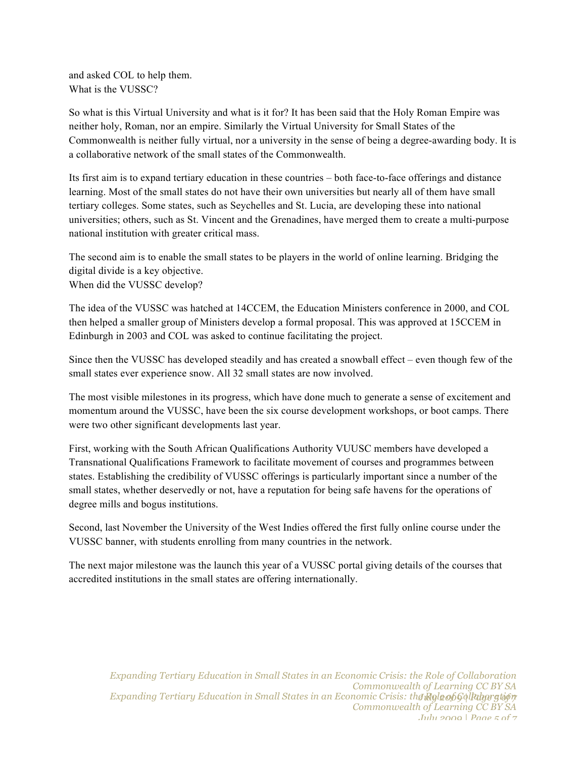and asked COL to help them. What is the VUSSC?

So what is this Virtual University and what is it for? It has been said that the Holy Roman Empire was neither holy, Roman, nor an empire. Similarly the Virtual University for Small States of the Commonwealth is neither fully virtual, nor a university in the sense of being a degree-awarding body. It is a collaborative network of the small states of the Commonwealth.

Its first aim is to expand tertiary education in these countries – both face-to-face offerings and distance learning. Most of the small states do not have their own universities but nearly all of them have small tertiary colleges. Some states, such as Seychelles and St. Lucia, are developing these into national universities; others, such as St. Vincent and the Grenadines, have merged them to create a multi-purpose national institution with greater critical mass.

The second aim is to enable the small states to be players in the world of online learning. Bridging the digital divide is a key objective. When did the VUSSC develop?

The idea of the VUSSC was hatched at 14CCEM, the Education Ministers conference in 2000, and COL then helped a smaller group of Ministers develop a formal proposal. This was approved at 15CCEM in Edinburgh in 2003 and COL was asked to continue facilitating the project.

Since then the VUSSC has developed steadily and has created a snowball effect – even though few of the small states ever experience snow. All 32 small states are now involved.

The most visible milestones in its progress, which have done much to generate a sense of excitement and momentum around the VUSSC, have been the six course development workshops, or boot camps. There were two other significant developments last year.

First, working with the South African Qualifications Authority VUUSC members have developed a Transnational Qualifications Framework to facilitate movement of courses and programmes between states. Establishing the credibility of VUSSC offerings is particularly important since a number of the small states, whether deservedly or not, have a reputation for being safe havens for the operations of degree mills and bogus institutions.

Second, last November the University of the West Indies offered the first fully online course under the VUSSC banner, with students enrolling from many countries in the network.

The next major milestone was the launch this year of a VUSSC portal giving details of the courses that accredited institutions in the small states are offering internationally.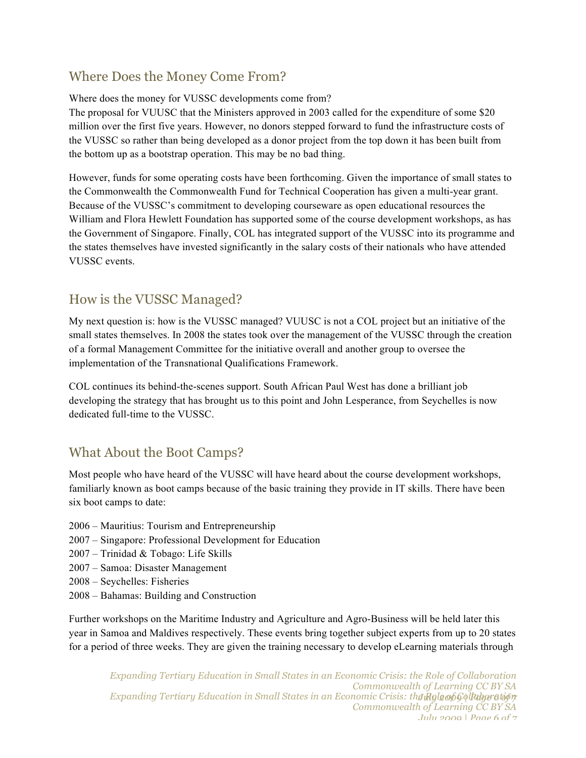#### Where Does the Money Come From?

Where does the money for VUSSC developments come from?

The proposal for VUUSC that the Ministers approved in 2003 called for the expenditure of some \$20 million over the first five years. However, no donors stepped forward to fund the infrastructure costs of the VUSSC so rather than being developed as a donor project from the top down it has been built from the bottom up as a bootstrap operation. This may be no bad thing.

However, funds for some operating costs have been forthcoming. Given the importance of small states to the Commonwealth the Commonwealth Fund for Technical Cooperation has given a multi-year grant. Because of the VUSSC's commitment to developing courseware as open educational resources the William and Flora Hewlett Foundation has supported some of the course development workshops, as has the Government of Singapore. Finally, COL has integrated support of the VUSSC into its programme and the states themselves have invested significantly in the salary costs of their nationals who have attended VUSSC events.

## How is the VUSSC Managed?

My next question is: how is the VUSSC managed? VUUSC is not a COL project but an initiative of the small states themselves. In 2008 the states took over the management of the VUSSC through the creation of a formal Management Committee for the initiative overall and another group to oversee the implementation of the Transnational Qualifications Framework.

COL continues its behind-the-scenes support. South African Paul West has done a brilliant job developing the strategy that has brought us to this point and John Lesperance, from Seychelles is now dedicated full-time to the VUSSC.

# What About the Boot Camps?

Most people who have heard of the VUSSC will have heard about the course development workshops, familiarly known as boot camps because of the basic training they provide in IT skills. There have been six boot camps to date:

- 2006 Mauritius: Tourism and Entrepreneurship
- 2007 Singapore: Professional Development for Education
- 2007 Trinidad & Tobago: Life Skills
- 2007 Samoa: Disaster Management
- 2008 Seychelles: Fisheries
- 2008 Bahamas: Building and Construction

Further workshops on the Maritime Industry and Agriculture and Agro-Business will be held later this year in Samoa and Maldives respectively. These events bring together subject experts from up to 20 states for a period of three weeks. They are given the training necessary to develop eLearning materials through